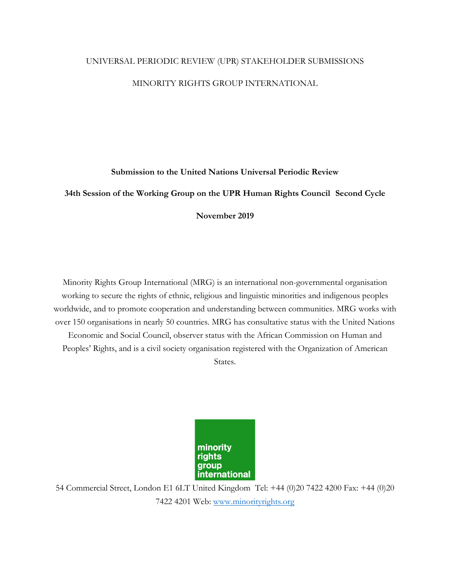## UNIVERSAL PERIODIC REVIEW (UPR) STAKEHOLDER SUBMISSIONS

# MINORITY RIGHTS GROUP INTERNATIONAL

# **Submission to the United Nations Universal Periodic Review**

# **34th Session of the Working Group on the UPR Human Rights Council Second Cycle**

## **November 2019**

Minority Rights Group International (MRG) is an international non-governmental organisation working to secure the rights of ethnic, religious and linguistic minorities and indigenous peoples worldwide, and to promote cooperation and understanding between communities. MRG works with over 150 organisations in nearly 50 countries. MRG has consultative status with the United Nations Economic and Social Council, observer status with the African Commission on Human and Peoples' Rights, and is a civil society organisation registered with the Organization of American States.



54 Commercial Street, London E1 6LT United Kingdom Tel: +44 (0)20 7422 4200 Fax: +44 (0)20 7422 4201 Web: www.minorityrights.org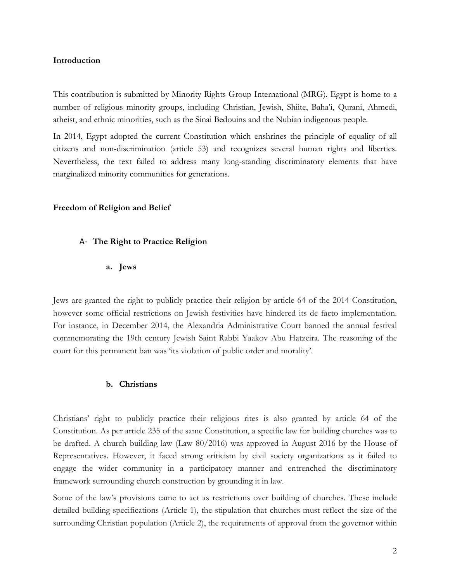## **Introduction**

This contribution is submitted by Minority Rights Group International (MRG). Egypt is home to a number of religious minority groups, including Christian, Jewish, Shiite, Baha'i, Qurani, Ahmedi, atheist, and ethnic minorities, such as the Sinai Bedouins and the Nubian indigenous people.

In 2014, Egypt adopted the current Constitution which enshrines the principle of equality of all citizens and non-discrimination (article 53) and recognizes several human rights and liberties. Nevertheless, the text failed to address many long-standing discriminatory elements that have marginalized minority communities for generations.

## **Freedom of Religion and Belief**

## A- **The Right to Practice Religion**

## **a. Jews**

Jews are granted the right to publicly practice their religion by article 64 of the 2014 Constitution, however some official restrictions on Jewish festivities have hindered its de facto implementation. For instance, in December 2014, the Alexandria Administrative Court banned the annual festival commemorating the 19th century Jewish Saint Rabbi Yaakov Abu Hatzeira. The reasoning of the court for this permanent ban was 'its violation of public order and morality'.

## **b. Christians**

Christians' right to publicly practice their religious rites is also granted by article 64 of the Constitution. As per article 235 of the same Constitution, a specific law for building churches was to be drafted. A church building law (Law 80/2016) was approved in August 2016 by the House of Representatives. However, it faced strong criticism by civil society organizations as it failed to engage the wider community in a participatory manner and entrenched the discriminatory framework surrounding church construction by grounding it in law.

Some of the law's provisions came to act as restrictions over building of churches. These include detailed building specifications (Article 1), the stipulation that churches must reflect the size of the surrounding Christian population (Article 2), the requirements of approval from the governor within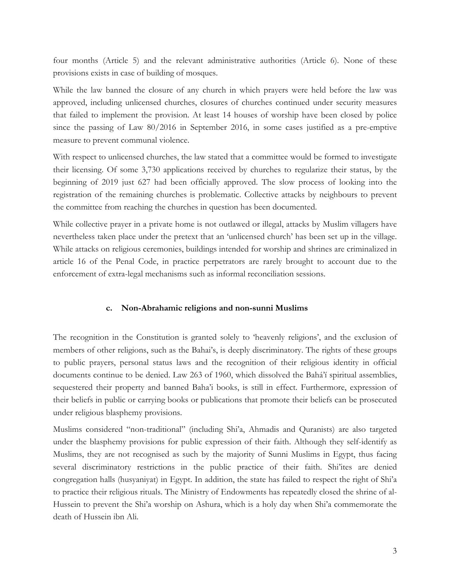four months (Article 5) and the relevant administrative authorities (Article 6). None of these provisions exists in case of building of mosques.

While the law banned the closure of any church in which prayers were held before the law was approved, including unlicensed churches, closures of churches continued under security measures that failed to implement the provision. At least 14 houses of worship have been closed by police since the passing of Law 80/2016 in September 2016, in some cases justified as a pre-emptive measure to prevent communal violence.

With respect to unlicensed churches, the law stated that a committee would be formed to investigate their licensing. Of some 3,730 applications received by churches to regularize their status, by the beginning of 2019 just 627 had been officially approved. The slow process of looking into the registration of the remaining churches is problematic. Collective attacks by neighbours to prevent the committee from reaching the churches in question has been documented.

While collective prayer in a private home is not outlawed or illegal, attacks by Muslim villagers have nevertheless taken place under the pretext that an 'unlicensed church' has been set up in the village. While attacks on religious ceremonies, buildings intended for worship and shrines are criminalized in article 16 of the Penal Code, in practice perpetrators are rarely brought to account due to the enforcement of extra-legal mechanisms such as informal reconciliation sessions.

## **c. Non-Abrahamic religions and non-sunni Muslims**

The recognition in the Constitution is granted solely to 'heavenly religions', and the exclusion of members of other religions, such as the Bahai's, is deeply discriminatory. The rights of these groups to public prayers, personal status laws and the recognition of their religious identity in official documents continue to be denied. Law 263 of 1960, which dissolved the Bahá'í spiritual assemblies, sequestered their property and banned Baha'i books, is still in effect. Furthermore, expression of their beliefs in public or carrying books or publications that promote their beliefs can be prosecuted under religious blasphemy provisions.

Muslims considered "non-traditional" (including Shi'a, Ahmadis and Quranists) are also targeted under the blasphemy provisions for public expression of their faith. Although they self-identify as Muslims, they are not recognised as such by the majority of Sunni Muslims in Egypt, thus facing several discriminatory restrictions in the public practice of their faith. Shi'ites are denied congregation halls (husyaniyat) in Egypt. In addition, the state has failed to respect the right of Shi'a to practice their religious rituals. The Ministry of Endowments has repeatedly closed the shrine of al-Hussein to prevent the Shi'a worship on Ashura, which is a holy day when Shi'a commemorate the death of Hussein ibn Ali.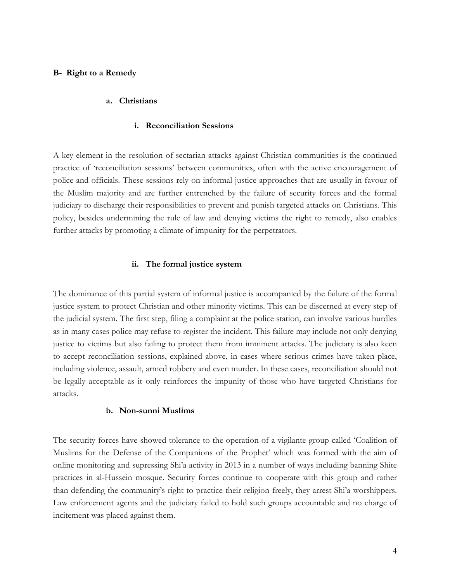## **B- Right to a Remedy**

#### **a. Christians**

#### **i. Reconciliation Sessions**

A key element in the resolution of sectarian attacks against Christian communities is the continued practice of 'reconciliation sessions' between communities, often with the active encouragement of police and officials. These sessions rely on informal justice approaches that are usually in favour of the Muslim majority and are further entrenched by the failure of security forces and the formal judiciary to discharge their responsibilities to prevent and punish targeted attacks on Christians. This policy, besides undermining the rule of law and denying victims the right to remedy, also enables further attacks by promoting a climate of impunity for the perpetrators.

#### **ii. The formal justice system**

The dominance of this partial system of informal justice is accompanied by the failure of the formal justice system to protect Christian and other minority victims. This can be discerned at every step of the judicial system. The first step, filing a complaint at the police station, can involve various hurdles as in many cases police may refuse to register the incident. This failure may include not only denying justice to victims but also failing to protect them from imminent attacks. The judiciary is also keen to accept reconciliation sessions, explained above, in cases where serious crimes have taken place, including violence, assault, armed robbery and even murder. In these cases, reconciliation should not be legally acceptable as it only reinforces the impunity of those who have targeted Christians for attacks.

## **b. Non-sunni Muslims**

The security forces have showed tolerance to the operation of a vigilante group called 'Coalition of Muslims for the Defense of the Companions of the Prophet' which was formed with the aim of online monitoring and supressing Shi'a activity in 2013 in a number of ways including banning Shite practices in al-Hussein mosque. Security forces continue to cooperate with this group and rather than defending the community's right to practice their religion freely, they arrest Shi'a worshippers. Law enforcement agents and the judiciary failed to hold such groups accountable and no charge of incitement was placed against them.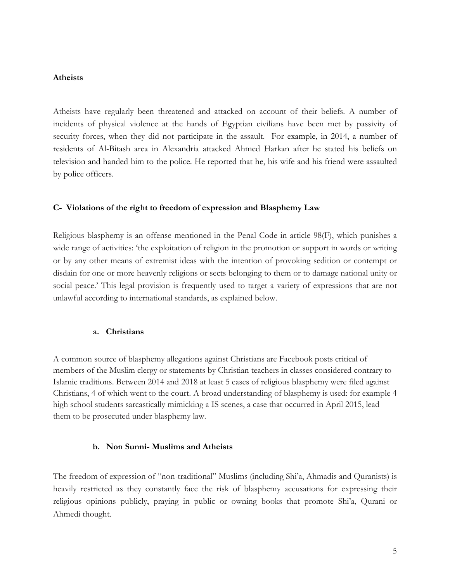#### **Atheists**

Atheists have regularly been threatened and attacked on account of their beliefs. A number of incidents of physical violence at the hands of Egyptian civilians have been met by passivity of security forces, when they did not participate in the assault. For example, in 2014, a number of residents of Al-Bitash area in Alexandria attacked Ahmed Harkan after he stated his beliefs on television and handed him to the police. He reported that he, his wife and his friend were assaulted by police officers.

## **C- Violations of the right to freedom of expression and Blasphemy Law**

Religious blasphemy is an offense mentioned in the Penal Code in article 98(F), which punishes a wide range of activities: 'the exploitation of religion in the promotion or support in words or writing or by any other means of extremist ideas with the intention of provoking sedition or contempt or disdain for one or more heavenly religions or sects belonging to them or to damage national unity or social peace.' This legal provision is frequently used to target a variety of expressions that are not unlawful according to international standards, as explained below.

## **a. Christians**

A common source of blasphemy allegations against Christians are Facebook posts critical of members of the Muslim clergy or statements by Christian teachers in classes considered contrary to Islamic traditions. Between 2014 and 2018 at least 5 cases of religious blasphemy were filed against Christians, 4 of which went to the court. A broad understanding of blasphemy is used: for example 4 high school students sarcastically mimicking a IS scenes, a case that occurred in April 2015, lead them to be prosecuted under blasphemy law.

## **b. Non Sunni- Muslims and Atheists**

The freedom of expression of "non-traditional" Muslims (including Shi'a, Ahmadis and Quranists) is heavily restricted as they constantly face the risk of blasphemy accusations for expressing their religious opinions publicly, praying in public or owning books that promote Shi'a, Qurani or Ahmedi thought.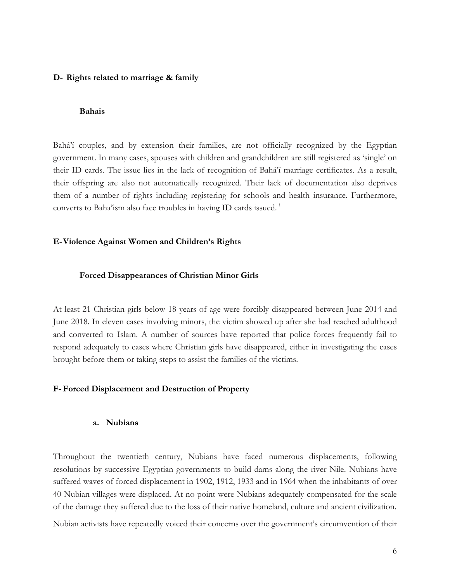#### **D- Rights related to marriage & family**

#### **Bahais**

Bahá'í couples, and by extension their families, are not officially recognized by the Egyptian government. In many cases, spouses with children and grandchildren are still registered as 'single' on their ID cards. The issue lies in the lack of recognition of Bahá'í marriage certificates. As a result, their offspring are also not automatically recognized. Their lack of documentation also deprives them of a number of rights including registering for schools and health insurance. Furthermore, converts to Baha'ism also face troubles in having ID cards issued. i

#### **E-Violence Against Women and Children's Rights**

#### **Forced Disappearances of Christian Minor Girls**

At least 21 Christian girls below 18 years of age were forcibly disappeared between June 2014 and June 2018. In eleven cases involving minors, the victim showed up after she had reached adulthood and converted to Islam. A number of sources have reported that police forces frequently fail to respond adequately to cases where Christian girls have disappeared, either in investigating the cases brought before them or taking steps to assist the families of the victims.

## **F- Forced Displacement and Destruction of Property**

#### **a. Nubians**

Throughout the twentieth century, Nubians have faced numerous displacements, following resolutions by successive Egyptian governments to build dams along the river Nile. Nubians have suffered waves of forced displacement in 1902, 1912, 1933 and in 1964 when the inhabitants of over 40 Nubian villages were displaced. At no point were Nubians adequately compensated for the scale of the damage they suffered due to the loss of their native homeland, culture and ancient civilization. Nubian activists have repeatedly voiced their concerns over the government's circumvention of their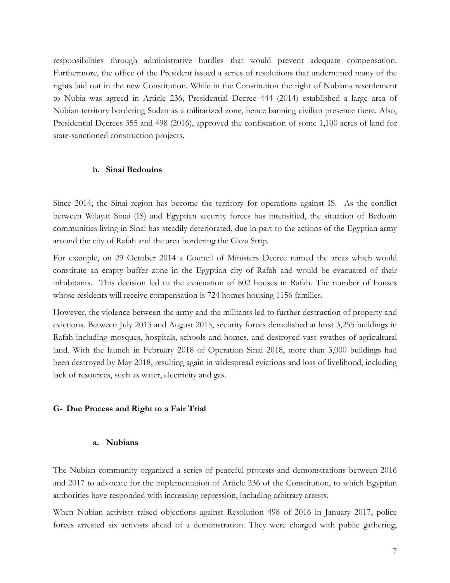responsibilities through administrative hurdles that would prevent adequate compensation. Furthermore, the office of the President issued a series of resolutions that undermined many of the rights laid out in the new Constitution. While in the Constitution the right of Nubians resettlement to Nubia was agreed in Article 236, Presidential Decree 444 (2014) established a large area of Nubian territory bordering Sudan as a militarized zone, hence banning civilian presence there. Also, Presidential Decrees 355 and 498 (2016), approved the confiscation of some 1,100 acres of land for state-sanctioned construction projects.

#### **b. Sinai Bedouins**

Since 2014, the Sinai region has become the territory for operations against IS. As the conflict between Wilayat Sinai (IS) and Egyptian security forces has intensified, the situation of Bedouin communities living in Sinai has steadily deteriorated, due in part to the actions of the Egyptian army around the city of Rafah and the area bordering the Gaza Strip.

For example, on 29 October 2014 a Council of Ministers Decree named the areas which would constitute an empty buffer zone in the Egyptian city of Rafah and would be evacuated of their inhabitants. This decision led to the evacuation of 802 houses in Rafah. The number of houses whose residents will receive compensation is 724 homes housing 1156 families.

However, the violence between the army and the militants led to further destruction of property and evictions. Between July 2013 and August 2015, security forces demolished at least 3,255 buildings in Rafah including mosques, hospitals, schools and homes, and destroyed vast swathes of agricultural land. With the launch in February 2018 of Operation Sinai 2018, more than 3,000 buildings had been destroyed by May 2018, resulting again in widespread evictions and loss of livelihood, including lack of resources, such as water, electricity and gas.

#### **G- Due Process and Right to a Fair Trial**

#### **a. Nubians**

The Nubian community organized a series of peaceful protests and demonstrations between 2016 and 2017 to advocate for the implementation of Article 236 of the Constitution, to which Egyptian authorities have responded with increasing repression, including arbitrary arrests.

When Nubian activists raised objections against Resolution 498 of 2016 in January 2017, police forces arrested six activists ahead of a demonstration. They were charged with public gathering,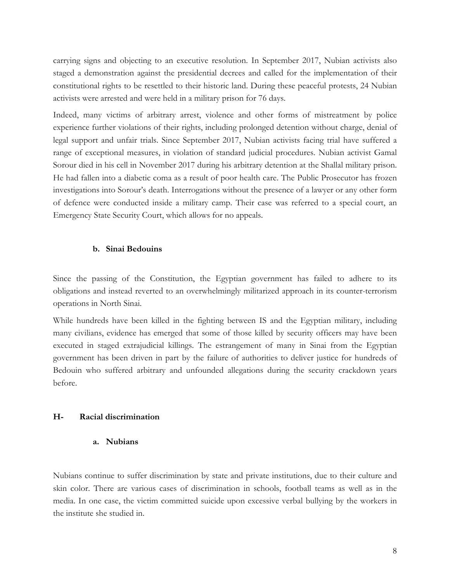carrying signs and objecting to an executive resolution. In September 2017, Nubian activists also staged a demonstration against the presidential decrees and called for the implementation of their constitutional rights to be resettled to their historic land. During these peaceful protests, 24 Nubian activists were arrested and were held in a military prison for 76 days.

Indeed, many victims of arbitrary arrest, violence and other forms of mistreatment by police experience further violations of their rights, including prolonged detention without charge, denial of legal support and unfair trials. Since September 2017, Nubian activists facing trial have suffered a range of exceptional measures, in violation of standard judicial procedures. Nubian activist Gamal Sorour died in his cell in November 2017 during his arbitrary detention at the Shallal military prison. He had fallen into a diabetic coma as a result of poor health care. The Public Prosecutor has frozen investigations into Sorour's death. Interrogations without the presence of a lawyer or any other form of defence were conducted inside a military camp. Their case was referred to a special court, an Emergency State Security Court, which allows for no appeals.

## **b. Sinai Bedouins**

Since the passing of the Constitution, the Egyptian government has failed to adhere to its obligations and instead reverted to an overwhelmingly militarized approach in its counter-terrorism operations in North Sinai.

While hundreds have been killed in the fighting between IS and the Egyptian military, including many civilians, evidence has emerged that some of those killed by security officers may have been executed in staged extrajudicial killings. The estrangement of many in Sinai from the Egyptian government has been driven in part by the failure of authorities to deliver justice for hundreds of Bedouin who suffered arbitrary and unfounded allegations during the security crackdown years before.

## **H- Racial discrimination**

# **a. Nubians**

Nubians continue to suffer discrimination by state and private institutions, due to their culture and skin color. There are various cases of discrimination in schools, football teams as well as in the media. In one case, the victim committed suicide upon excessive verbal bullying by the workers in the institute she studied in.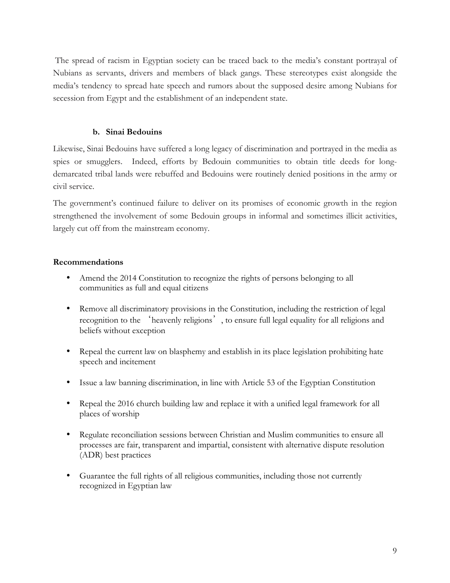The spread of racism in Egyptian society can be traced back to the media's constant portrayal of Nubians as servants, drivers and members of black gangs. These stereotypes exist alongside the media's tendency to spread hate speech and rumors about the supposed desire among Nubians for secession from Egypt and the establishment of an independent state.

# **b. Sinai Bedouins**

Likewise, Sinai Bedouins have suffered a long legacy of discrimination and portrayed in the media as spies or smugglers. Indeed, efforts by Bedouin communities to obtain title deeds for longdemarcated tribal lands were rebuffed and Bedouins were routinely denied positions in the army or civil service.

The government's continued failure to deliver on its promises of economic growth in the region strengthened the involvement of some Bedouin groups in informal and sometimes illicit activities, largely cut off from the mainstream economy.

# **Recommendations**

- Amend the 2014 Constitution to recognize the rights of persons belonging to all communities as full and equal citizens
- Remove all discriminatory provisions in the Constitution, including the restriction of legal recognition to the 'heavenly religions', to ensure full legal equality for all religions and beliefs without exception
- Repeal the current law on blasphemy and establish in its place legislation prohibiting hate speech and incitement
- Issue a law banning discrimination, in line with Article 53 of the Egyptian Constitution
- Repeal the 2016 church building law and replace it with a unified legal framework for all places of worship
- Regulate reconciliation sessions between Christian and Muslim communities to ensure all processes are fair, transparent and impartial, consistent with alternative dispute resolution (ADR) best practices
- Guarantee the full rights of all religious communities, including those not currently recognized in Egyptian law